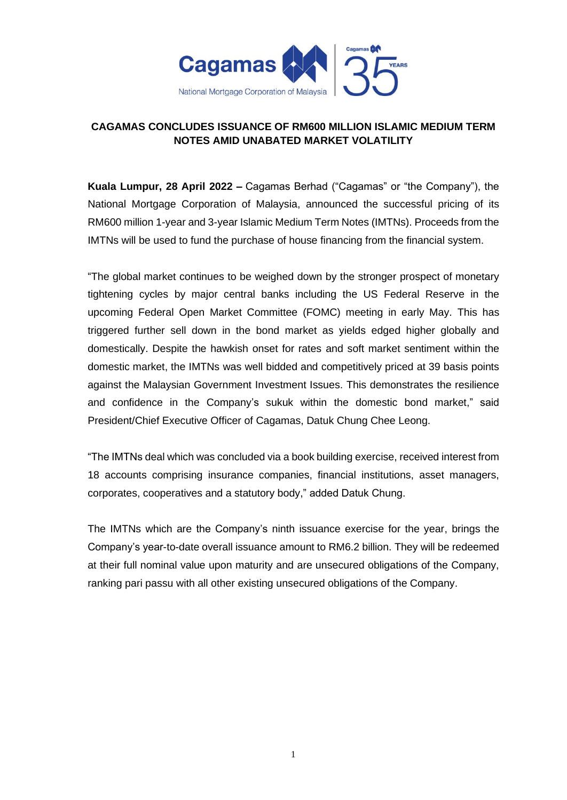

## **CAGAMAS CONCLUDES ISSUANCE OF RM600 MILLION ISLAMIC MEDIUM TERM NOTES AMID UNABATED MARKET VOLATILITY**

**Kuala Lumpur, 28 April 2022 –** Cagamas Berhad ("Cagamas" or "the Company"), the National Mortgage Corporation of Malaysia, announced the successful pricing of its RM600 million 1-year and 3-year Islamic Medium Term Notes (IMTNs). Proceeds from the IMTNs will be used to fund the purchase of house financing from the financial system.

"The global market continues to be weighed down by the stronger prospect of monetary tightening cycles by major central banks including the US Federal Reserve in the upcoming Federal Open Market Committee (FOMC) meeting in early May. This has triggered further sell down in the bond market as yields edged higher globally and domestically. Despite the hawkish onset for rates and soft market sentiment within the domestic market, the IMTNs was well bidded and competitively priced at 39 basis points against the Malaysian Government Investment Issues. This demonstrates the resilience and confidence in the Company's sukuk within the domestic bond market," said President/Chief Executive Officer of Cagamas, Datuk Chung Chee Leong.

"The IMTNs deal which was concluded via a book building exercise, received interest from 18 accounts comprising insurance companies, financial institutions, asset managers, corporates, cooperatives and a statutory body," added Datuk Chung.

The IMTNs which are the Company's ninth issuance exercise for the year, brings the Company's year-to-date overall issuance amount to RM6.2 billion. They will be redeemed at their full nominal value upon maturity and are unsecured obligations of the Company, ranking pari passu with all other existing unsecured obligations of the Company.